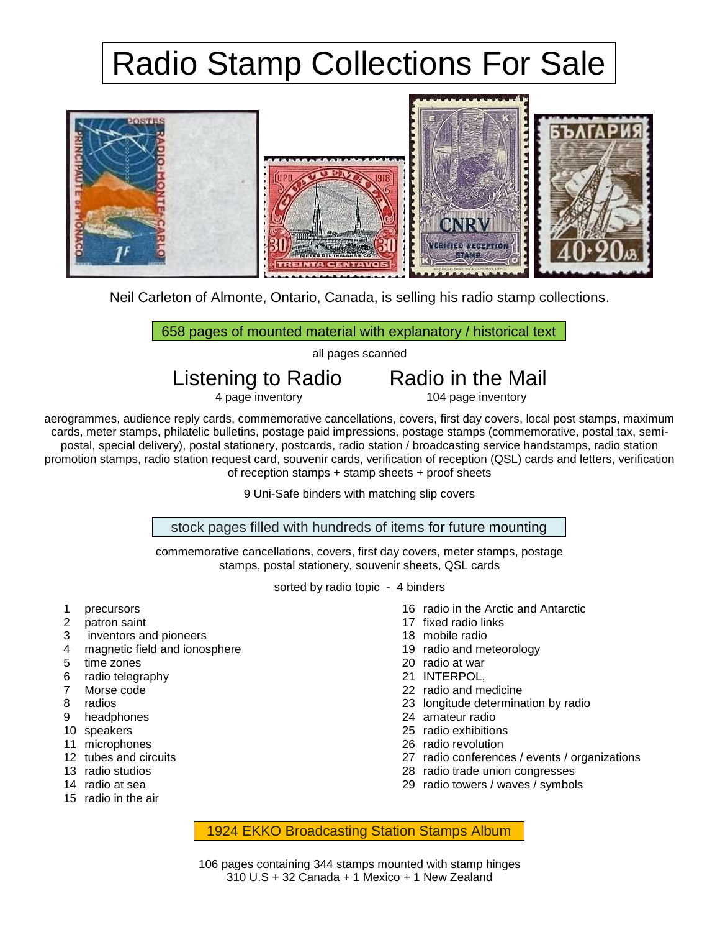## Radio Stamp Collections For Sale



Neil Carleton of Almonte, Ontario, Canada, is selling his radio stamp collections.

658 pages of mounted material with explanatory / historical text

all pages scanned

Listening to Radio  $\overline{R}$  Radio in the Mail  $\overline{r}$  and  $\overline{r}$  and  $\overline{r}$  and  $\overline{r}$  and  $\overline{r}$  and  $\overline{r}$  and  $\overline{r}$  and  $\overline{r}$  and  $\overline{r}$  and  $\overline{r}$  and  $\overline{r}$  and  $\overline{r}$  and  $\overline{r}$  and  $\overline{r$ 

104 page inventory

aerogrammes, audience reply cards, commemorative cancellations, covers, first day covers, local post stamps, maximum cards, meter stamps, philatelic bulletins, postage paid impressions, postage stamps (commemorative, postal tax, semipostal, special delivery), postal stationery, postcards, radio station / broadcasting service handstamps, radio station promotion stamps, radio station request card, souvenir cards, verification of reception (QSL) cards and letters, verification of reception stamps + stamp sheets + proof sheets

9 Uni-Safe binders with matching slip covers

stock pages filled with hundreds of items for future mounting

commemorative cancellations, covers, first day covers, meter stamps, postage stamps, postal stationery, souvenir sheets, QSL cards

sorted by radio topic - 4 binders

- 1 precursors
- 2 patron saint
- 3 inventors and pioneers
- 4 magnetic field and ionosphere
- 5 time zones
- 6 radio telegraphy
- 7 Morse code
- 8 radios
- 9 headphones
- 10 speakers
- 11 microphones
- 12 tubes and circuits
- 13 radio studios
- 14 radio at sea
- 15 radio in the air
- 16 radio in the Arctic and Antarctic
- 17 fixed radio links
- 18 mobile radio
- 19 radio and meteorology
- 20 radio at war
- 21 INTERPOL,
- 22 radio and medicine
- 23 longitude determination by radio
- 24 amateur radio
- 25 radio exhibitions
- 26 radio revolution
- 27 radio conferences / events / organizations
- 28 radio trade union congresses
- 29 radio towers / waves / symbols

1924 EKKO Broadcasting Station Stamps Album

106 pages containing 344 stamps mounted with stamp hinges 310 U.S + 32 Canada + 1 Mexico + 1 New Zealand